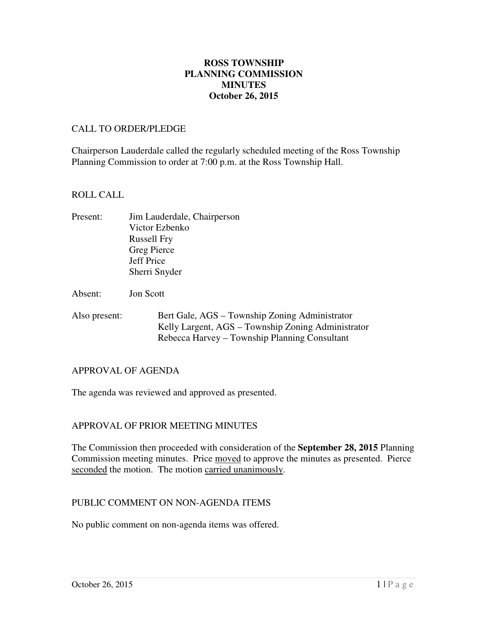### **October 26, 2015 ROSS TOWNSHIP PLANNING COMMISSION MINUTES**

#### CALL TO ORDER/PLEDGE

 Chairperson Lauderdale called the regularly scheduled meeting of the Ross Township Planning Commission to order at 7:00 p.m. at the Ross Township Hall.

#### ROLL CALL

- Present: Victor Ezbenko Russell Fry Greg Pierce Jeff Price Sherri Snyder Jim Lauderdale, Chairperson
- Absent: Jon Scott
- Also present: Bert Gale, AGS – Township Zoning Administrator Kelly Largent, AGS – Township Zoning Administrator Rebecca Harvey – Township Planning Consultant

#### APPROVAL OF AGENDA

The agenda was reviewed and approved as presented.

### APPROVAL OF PRIOR MEETING MINUTES

 The Commission then proceeded with consideration of the **September 28, 2015** Planning Commission meeting minutes. Price moved to approve the minutes as presented. Pierce seconded the motion. The motion carried unanimously.

#### PUBLIC COMMENT ON NON-AGENDA ITEMS

No public comment on non-agenda items was offered.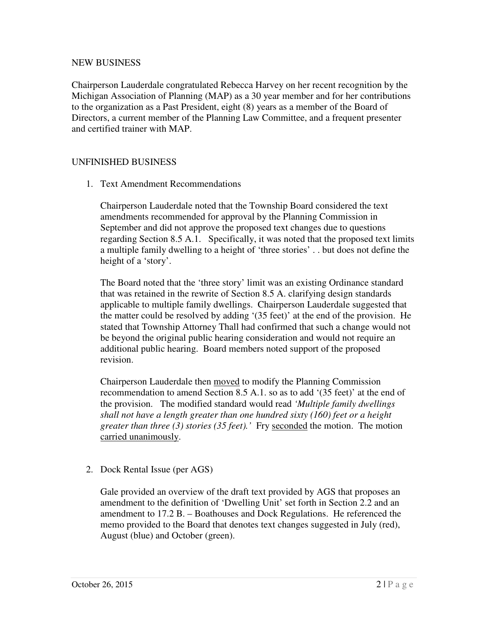# NEW BUSINESS

 Chairperson Lauderdale congratulated Rebecca Harvey on her recent recognition by the Michigan Association of Planning (MAP) as a 30 year member and for her contributions to the organization as a Past President, eight (8) years as a member of the Board of Directors, a current member of the Planning Law Committee, and a frequent presenter and certified trainer with MAP.

# UNFINISHED BUSINESS

1. Text Amendment Recommendations

 Chairperson Lauderdale noted that the Township Board considered the text amendments recommended for approval by the Planning Commission in September and did not approve the proposed text changes due to questions regarding Section 8.5 A.1. Specifically, it was noted that the proposed text limits a multiple family dwelling to a height of 'three stories' . . but does not define the height of a 'story'.

 The Board noted that the 'three story' limit was an existing Ordinance standard that was retained in the rewrite of Section 8.5 A. clarifying design standards applicable to multiple family dwellings. Chairperson Lauderdale suggested that the matter could be resolved by adding '(35 feet)' at the end of the provision. He stated that Township Attorney Thall had confirmed that such a change would not be beyond the original public hearing consideration and would not require an additional public hearing. Board members noted support of the proposed revision.

Chairperson Lauderdale then moved to modify the Planning Commission recommendation to amend Section 8.5 A.1. so as to add '(35 feet)' at the end of the provision. The modified standard would read *'Multiple family dwellings shall not have a length greater than one hundred sixty (160) feet or a height greater than three (3) stories (35 feet).'* Fry seconded the motion. The motion carried unanimously.

2. Dock Rental Issue (per AGS)

 Gale provided an overview of the draft text provided by AGS that proposes an amendment to the definition of 'Dwelling Unit' set forth in Section 2.2 and an amendment to 17.2 B. – Boathouses and Dock Regulations. He referenced the memo provided to the Board that denotes text changes suggested in July (red), August (blue) and October (green).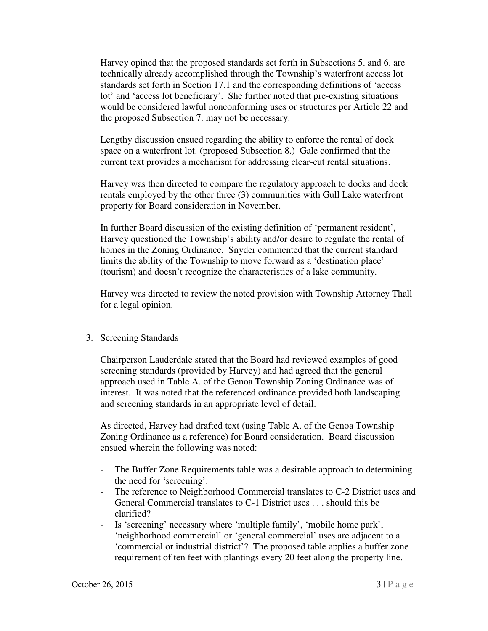Harvey opined that the proposed standards set forth in Subsections 5. and 6. are technically already accomplished through the Township's waterfront access lot standards set forth in Section 17.1 and the corresponding definitions of 'access lot' and 'access lot beneficiary'. She further noted that pre-existing situations would be considered lawful nonconforming uses or structures per Article 22 and the proposed Subsection 7. may not be necessary.

 Lengthy discussion ensued regarding the ability to enforce the rental of dock space on a waterfront lot. (proposed Subsection 8.) Gale confirmed that the current text provides a mechanism for addressing clear-cut rental situations.

 Harvey was then directed to compare the regulatory approach to docks and dock rentals employed by the other three (3) communities with Gull Lake waterfront property for Board consideration in November.

 In further Board discussion of the existing definition of 'permanent resident', Harvey questioned the Township's ability and/or desire to regulate the rental of homes in the Zoning Ordinance. Snyder commented that the current standard limits the ability of the Township to move forward as a 'destination place' (tourism) and doesn't recognize the characteristics of a lake community.

 Harvey was directed to review the noted provision with Township Attorney Thall for a legal opinion.

# 3. Screening Standards

 Chairperson Lauderdale stated that the Board had reviewed examples of good screening standards (provided by Harvey) and had agreed that the general approach used in Table A. of the Genoa Township Zoning Ordinance was of interest. It was noted that the referenced ordinance provided both landscaping and screening standards in an appropriate level of detail.

 As directed, Harvey had drafted text (using Table A. of the Genoa Township Zoning Ordinance as a reference) for Board consideration. Board discussion ensued wherein the following was noted:

- - The Buffer Zone Requirements table was a desirable approach to determining the need for 'screening'.
- - The reference to Neighborhood Commercial translates to C-2 District uses and General Commercial translates to C-1 District uses . . . should this be clarified?
- - Is 'screening' necessary where 'multiple family', 'mobile home park', 'neighborhood commercial' or 'general commercial' uses are adjacent to a 'commercial or industrial district'? The proposed table applies a buffer zone requirement of ten feet with plantings every 20 feet along the property line.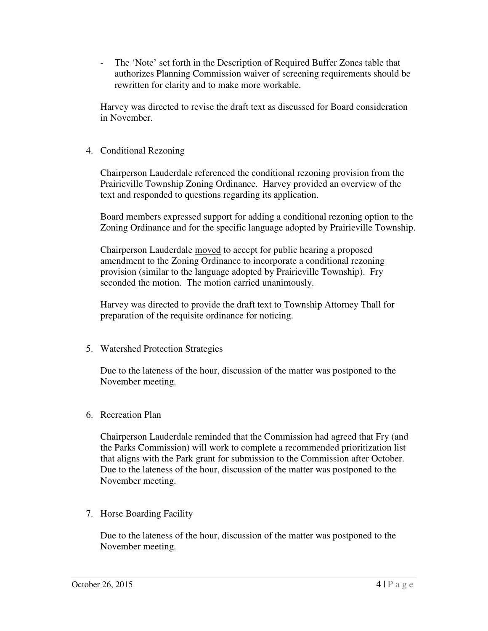- The 'Note' set forth in the Description of Required Buffer Zones table that authorizes Planning Commission waiver of screening requirements should be rewritten for clarity and to make more workable.

 Harvey was directed to revise the draft text as discussed for Board consideration in November.

4. Conditional Rezoning

 Chairperson Lauderdale referenced the conditional rezoning provision from the Prairieville Township Zoning Ordinance. Harvey provided an overview of the text and responded to questions regarding its application.

 Board members expressed support for adding a conditional rezoning option to the Zoning Ordinance and for the specific language adopted by Prairieville Township.

Chairperson Lauderdale moved to accept for public hearing a proposed amendment to the Zoning Ordinance to incorporate a conditional rezoning provision (similar to the language adopted by Prairieville Township). Fry seconded the motion. The motion carried unanimously.

 Harvey was directed to provide the draft text to Township Attorney Thall for preparation of the requisite ordinance for noticing.

5. Watershed Protection Strategies

 Due to the lateness of the hour, discussion of the matter was postponed to the November meeting.

6. Recreation Plan

 Chairperson Lauderdale reminded that the Commission had agreed that Fry (and the Parks Commission) will work to complete a recommended prioritization list that aligns with the Park grant for submission to the Commission after October. Due to the lateness of the hour, discussion of the matter was postponed to the November meeting.

7. Horse Boarding Facility

 Due to the lateness of the hour, discussion of the matter was postponed to the November meeting.